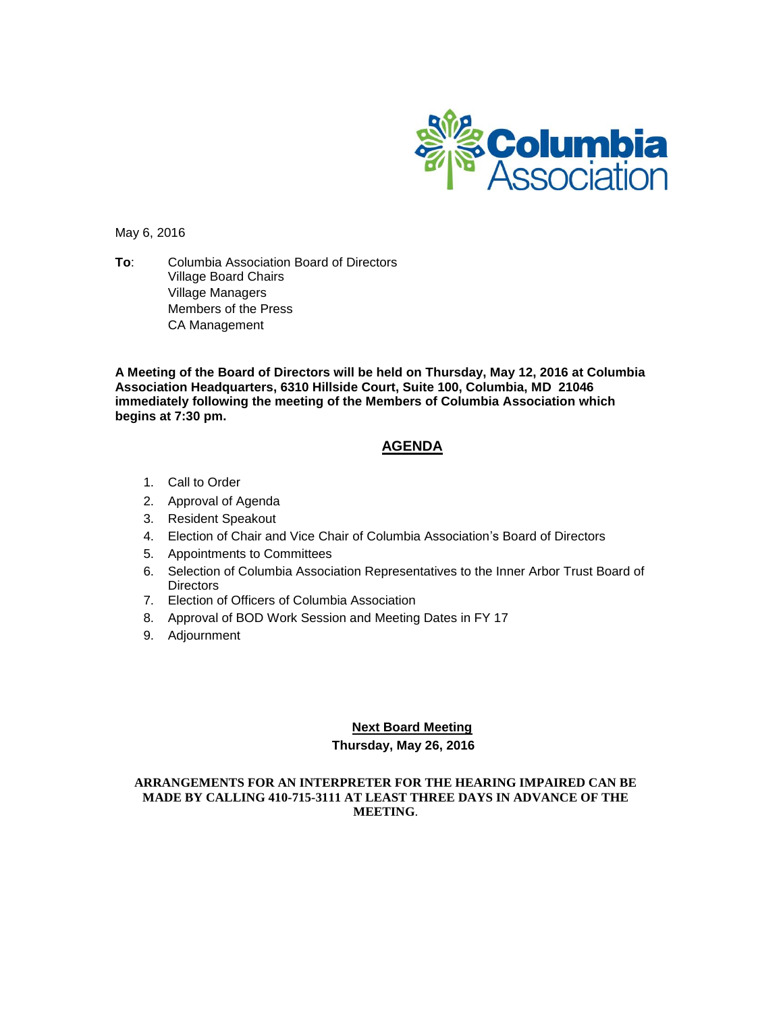

May 6, 2016

**To**: Columbia Association Board of Directors Village Board Chairs Village Managers Members of the Press CA Management

**A Meeting of the Board of Directors will be held on Thursday, May 12, 2016 at Columbia Association Headquarters, 6310 Hillside Court, Suite 100, Columbia, MD 21046 immediately following the meeting of the Members of Columbia Association which begins at 7:30 pm.**

### **AGENDA**

- 1. Call to Order
- 2. Approval of Agenda
- 3. Resident Speakout
- 4. Election of Chair and Vice Chair of Columbia Association's Board of Directors
- 5. Appointments to Committees
- 6. Selection of Columbia Association Representatives to the Inner Arbor Trust Board of **Directors**
- 7. Election of Officers of Columbia Association
- 8. Approval of BOD Work Session and Meeting Dates in FY 17
- 9. Adjournment

#### **Next Board Meeting**

#### **Thursday, May 26, 2016**

#### **ARRANGEMENTS FOR AN INTERPRETER FOR THE HEARING IMPAIRED CAN BE MADE BY CALLING 410-715-3111 AT LEAST THREE DAYS IN ADVANCE OF THE MEETING**.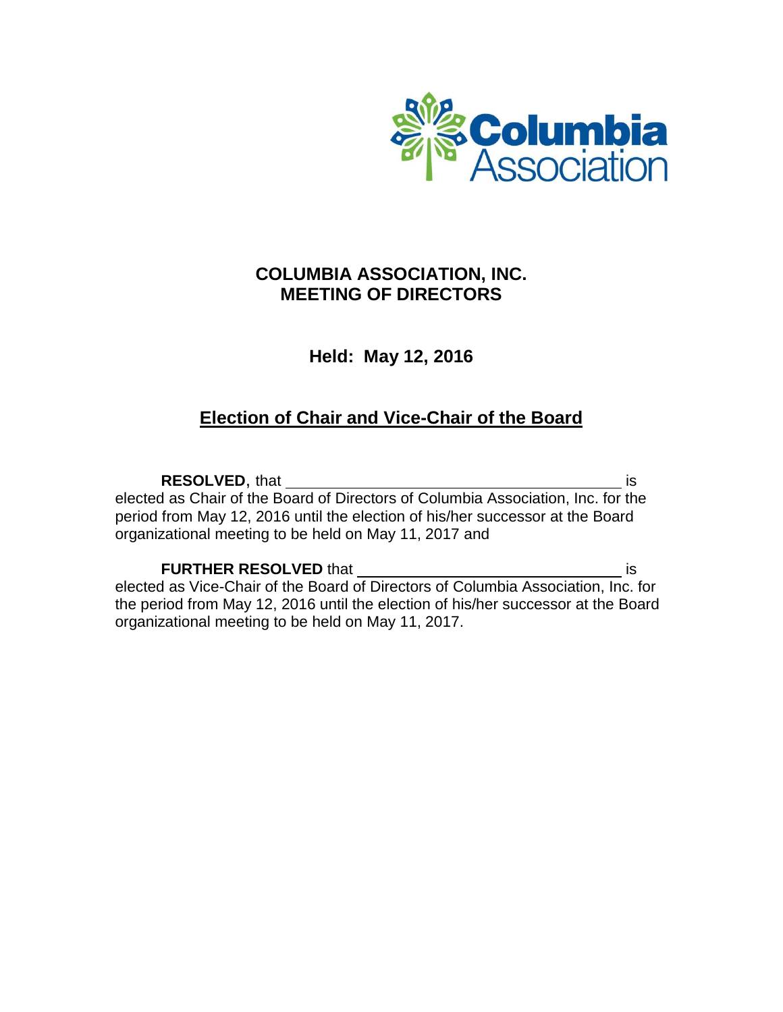

# **COLUMBIA ASSOCIATION, INC. MEETING OF DIRECTORS**

### **Held: May 12, 2016**

# **Election of Chair and Vice-Chair of the Board**

**RESOLVED**, that is a set of the set of the set of the set of the set of the set of the set of the set of the set of the set of the set of the set of the set of the set of the set of the set of the set of the set of the se elected as Chair of the Board of Directors of Columbia Association, Inc. for the period from May 12, 2016 until the election of his/her successor at the Board organizational meeting to be held on May 11, 2017 and

**FURTHER RESOLVED** that **interest and the interest of the set of the interest of the is** elected as Vice-Chair of the Board of Directors of Columbia Association, Inc. for the period from May 12, 2016 until the election of his/her successor at the Board organizational meeting to be held on May 11, 2017.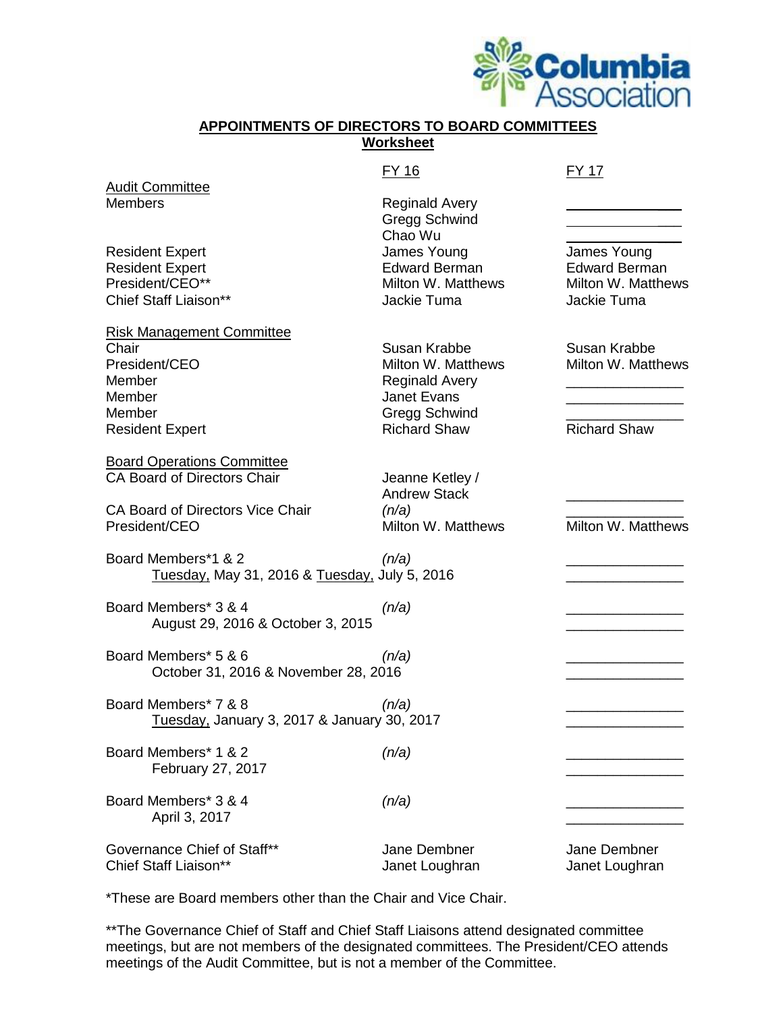

### **APPOINTMENTS OF DIRECTORS TO BOARD COMMITTEES Worksheet**

#### FY 16 FY 17

| <b>Audit Committee</b>                                                                                                              |                                                                                                                                  |                                                                          |
|-------------------------------------------------------------------------------------------------------------------------------------|----------------------------------------------------------------------------------------------------------------------------------|--------------------------------------------------------------------------|
| Members                                                                                                                             | <b>Reginald Avery</b><br>Gregg Schwind                                                                                           |                                                                          |
| Resident Expert<br><b>Resident Expert</b><br>President/CEO**<br>Chief Staff Liaison**                                               | Chao Wu<br>James Young<br><b>Edward Berman</b><br>Milton W. Matthews<br>Jackie Tuma                                              | James Young<br><b>Edward Berman</b><br>Milton W. Matthews<br>Jackie Tuma |
| Risk Management Committee<br>Chair<br>President/CEO<br>Member<br>Member<br>Member<br><b>Resident Expert</b>                         | Susan Krabbe<br>Milton W. Matthews<br><b>Reginald Avery</b><br><b>Janet Evans</b><br><b>Gregg Schwind</b><br><b>Richard Shaw</b> | Susan Krabbe<br>Milton W. Matthews<br><b>Richard Shaw</b>                |
| <b>Board Operations Committee</b><br><b>CA Board of Directors Chair</b><br><b>CA Board of Directors Vice Chair</b><br>President/CEO | Jeanne Ketley /<br><b>Andrew Stack</b><br>(n/a)<br>Milton W. Matthews                                                            | Milton W. Matthews                                                       |
| Board Members*1 & 2<br>Tuesday, May 31, 2016 & Tuesday, July 5, 2016                                                                | (n/a)                                                                                                                            |                                                                          |
| Board Members* 3 & 4<br>August 29, 2016 & October 3, 2015                                                                           | (n/a)                                                                                                                            |                                                                          |
| Board Members* 5 & 6<br>October 31, 2016 & November 28, 2016                                                                        | (n/a)                                                                                                                            |                                                                          |
| Board Members* 7 & 8<br>Tuesday, January 3, 2017 & January 30, 2017                                                                 | (n/a)                                                                                                                            |                                                                          |
| Board Members* 1 & 2<br>February 27, 2017                                                                                           | (n/a)                                                                                                                            |                                                                          |
| Board Members* 3 & 4<br>April 3, 2017                                                                                               | (n/a)                                                                                                                            |                                                                          |
| Governance Chief of Staff**<br>Chief Staff Liaison**                                                                                | Jane Dembner<br>Janet Loughran                                                                                                   | Jane Dembner<br>Janet Loughran                                           |

\*These are Board members other than the Chair and Vice Chair.

\*\* The Governance Chief of Staff and Chief Staff Liaisons attend designated committee meetings, but are not members of the designated committees. The President/CEO attends meetings of the Audit Committee, but is not a member of the Committee.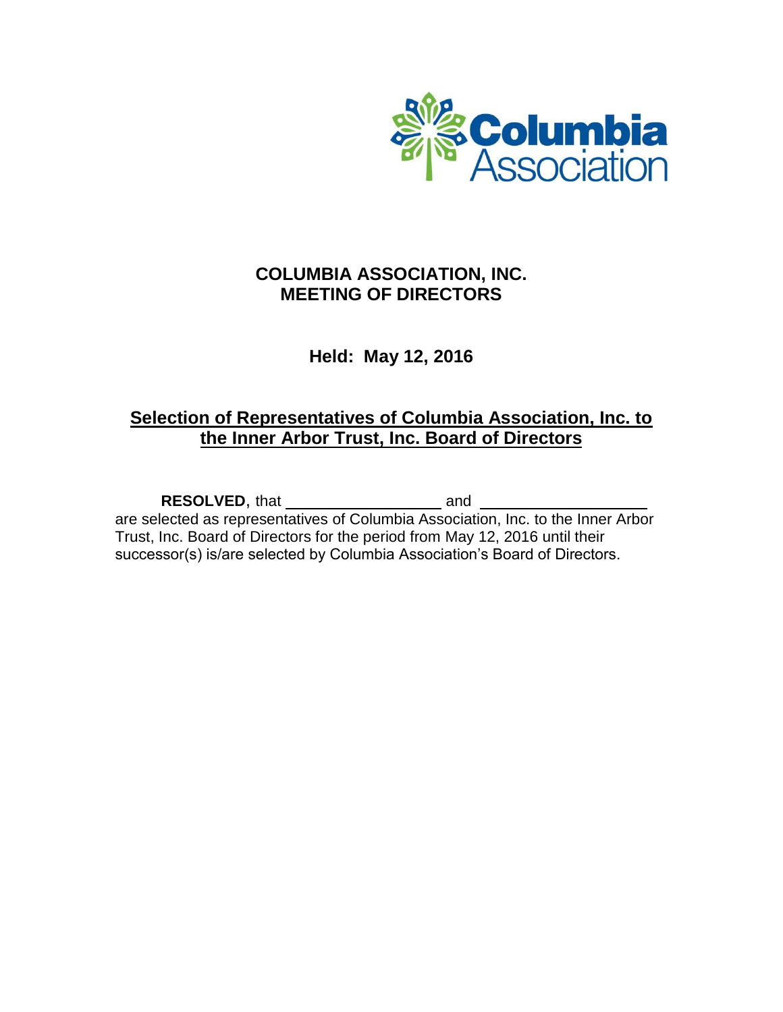

## **COLUMBIA ASSOCIATION, INC. MEETING OF DIRECTORS**

## **Held: May 12, 2016**

# **Selection of Representatives of Columbia Association, Inc. to the Inner Arbor Trust, Inc. Board of Directors**

**RESOLVED**, that and \_\_\_

are selected as representatives of Columbia Association, Inc. to the Inner Arbor Trust, Inc. Board of Directors for the period from May 12, 2016 until their successor(s) is/are selected by Columbia Association's Board of Directors.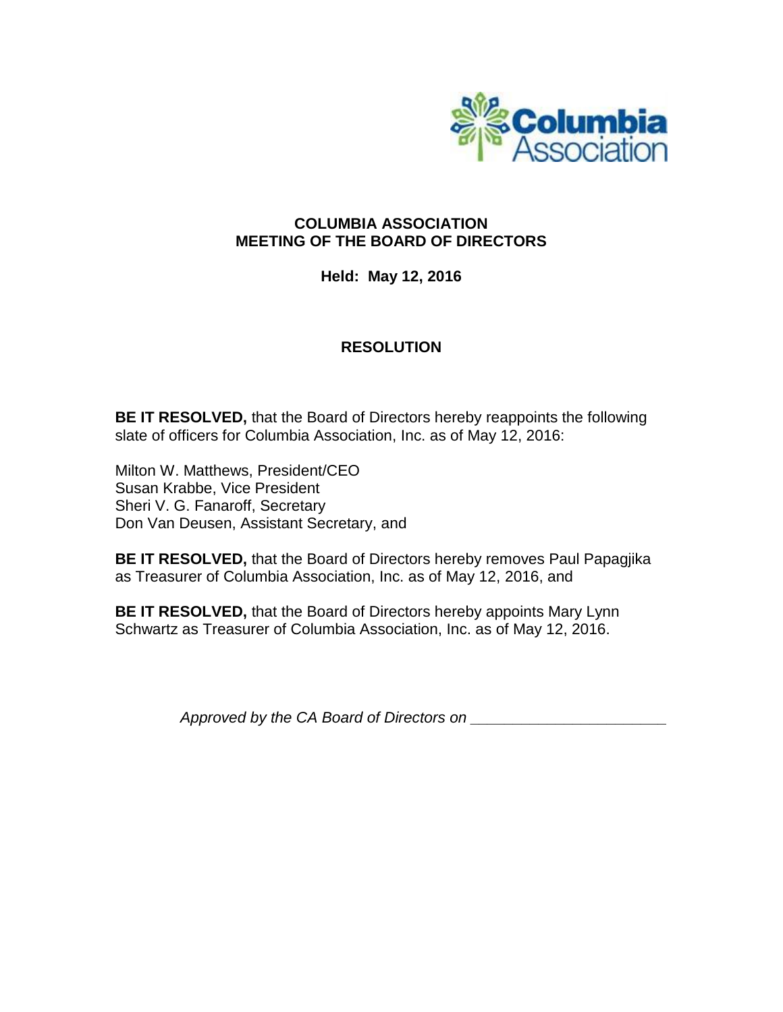

### **COLUMBIA ASSOCIATION MEETING OF THE BOARD OF DIRECTORS**

**Held: May 12, 2016**

### **RESOLUTION**

**BE IT RESOLVED,** that the Board of Directors hereby reappoints the following slate of officers for Columbia Association, Inc. as of May 12, 2016:

Milton W. Matthews, President/CEO Susan Krabbe, Vice President Sheri V. G. Fanaroff, Secretary Don Van Deusen, Assistant Secretary, and

**BE IT RESOLVED,** that the Board of Directors hereby removes Paul Papagjika as Treasurer of Columbia Association, Inc. as of May 12, 2016, and

**BE IT RESOLVED,** that the Board of Directors hereby appoints Mary Lynn Schwartz as Treasurer of Columbia Association, Inc. as of May 12, 2016.

*Approved by the CA Board of Directors on \_\_\_\_\_\_\_\_\_\_\_\_\_\_\_\_\_\_\_\_\_\_\_*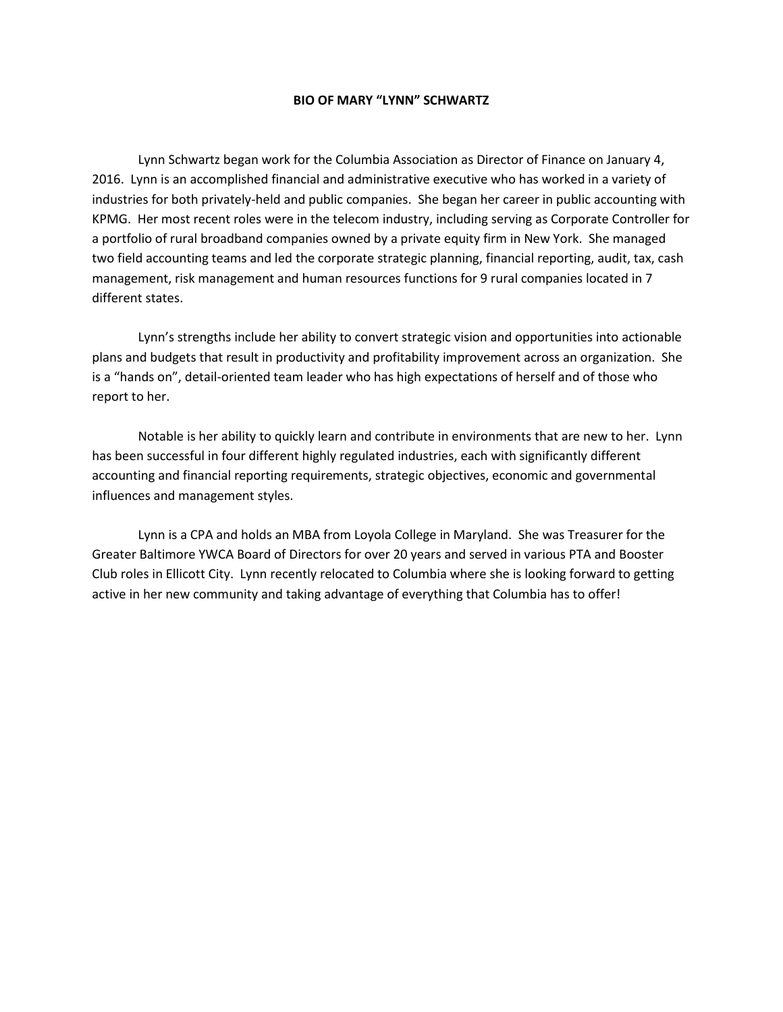#### **BIO OF MARY "LYNN" SCHWARTZ**

Lynn Schwartz began work for the Columbia Association as Director of Finance on January 4, 2016. Lynn is an accomplished financial and administrative executive who has worked in a variety of industries for both privately-held and public companies. She began her career in public accounting with KPMG. Her most recent roles were in the telecom industry, including serving as Corporate Controller for a portfolio of rural broadband companies owned by a private equity firm in New York. She managed two field accounting teams and led the corporate strategic planning, financial reporting, audit, tax, cash management, risk management and human resources functions for 9 rural companies located in 7 different states.

Lynn's strengths include her ability to convert strategic vision and opportunities into actionable plans and budgets that result in productivity and profitability improvement across an organization. She is a "hands on", detail-oriented team leader who has high expectations of herself and of those who report to her.

Notable is her ability to quickly learn and contribute in environments that are new to her. Lynn has been successful in four different highly regulated industries, each with significantly different accounting and financial reporting requirements, strategic objectives, economic and governmental influences and management styles.

Lynn is a CPA and holds an MBA from Loyola College in Maryland. She was Treasurer for the Greater Baltimore YWCA Board of Directors for over 20 years and served in various PTA and Booster Club roles in Ellicott City. Lynn recently relocated to Columbia where she is looking forward to getting active in her new community and taking advantage of everything that Columbia has to offer!